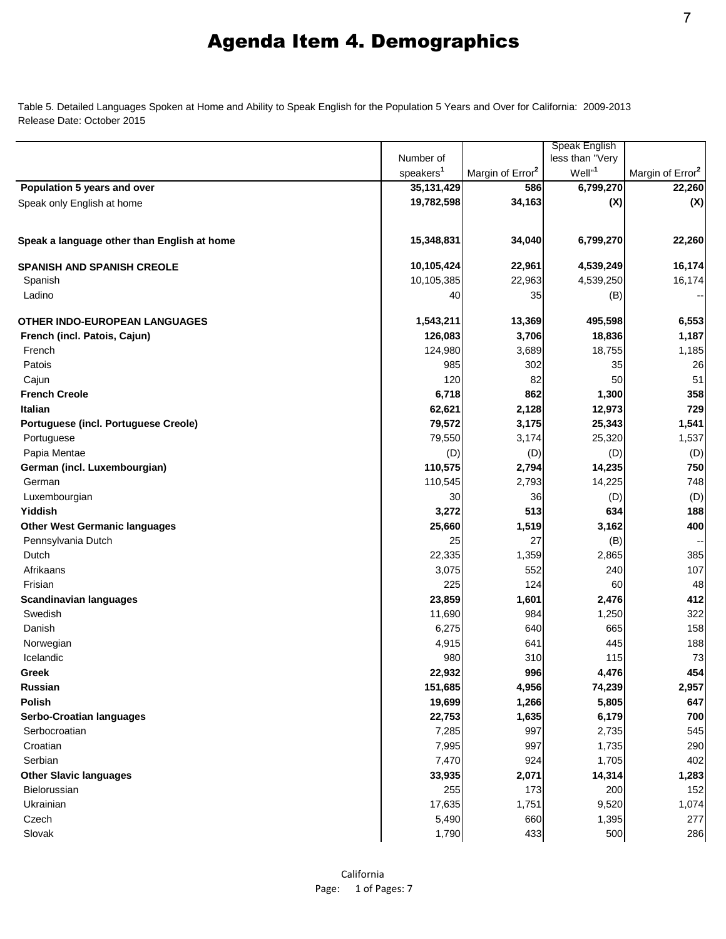Table 5. Detailed Languages Spoken at Home and Ability to Speak English for the Population 5 Years and Over for California: 2009-2013 Release Date: October 2015

|                                             |                       |                              | Speak English      |                              |
|---------------------------------------------|-----------------------|------------------------------|--------------------|------------------------------|
|                                             | Number of             |                              | less than "Very    |                              |
|                                             | speakers <sup>1</sup> | Margin of Error <sup>2</sup> | Well" <sup>1</sup> | Margin of Error <sup>2</sup> |
| Population 5 years and over                 | 35, 131, 429          | 586                          | 6,799,270          | 22,260                       |
| Speak only English at home                  | 19,782,598            | 34,163                       | (X)                | (X)                          |
|                                             |                       |                              |                    |                              |
| Speak a language other than English at home | 15,348,831            | 34,040                       | 6,799,270          | 22,260                       |
| <b>SPANISH AND SPANISH CREOLE</b>           | 10,105,424            | 22,961                       | 4,539,249          | 16,174                       |
| Spanish                                     | 10,105,385            | 22,963                       | 4,539,250          | 16,174                       |
| Ladino                                      | 40                    | 35                           | (B)                |                              |
| <b>OTHER INDO-EUROPEAN LANGUAGES</b>        | 1,543,211             | 13,369                       | 495,598            | 6,553                        |
| French (incl. Patois, Cajun)                | 126,083               | 3,706                        | 18,836             | 1,187                        |
| French                                      | 124,980               | 3,689                        | 18,755             | 1,185                        |
| Patois                                      | 985                   | 302                          | 35                 | 26                           |
| Cajun                                       | 120                   | 82                           | 50                 | 51                           |
| <b>French Creole</b>                        | 6,718                 | 862                          | 1,300              | 358                          |
| Italian                                     | 62,621                | 2,128                        | 12,973             | 729                          |
| Portuguese (incl. Portuguese Creole)        | 79,572                | 3,175                        | 25,343             | 1,541                        |
| Portuguese                                  | 79,550                | 3,174                        | 25,320             | 1,537                        |
| Papia Mentae                                | (D)                   | (D)                          | (D)                | (D)                          |
| German (incl. Luxembourgian)                | 110,575               | 2,794                        | 14,235             | 750                          |
| German                                      | 110,545               | 2,793                        | 14,225             | 748                          |
| Luxembourgian                               | 30                    | 36                           | (D)                | (D)                          |
| Yiddish                                     | 3,272                 | 513                          | 634                | 188                          |
| <b>Other West Germanic languages</b>        | 25,660                | 1,519                        | 3,162              | 400                          |
| Pennsylvania Dutch                          | 25                    | 27                           | (B)                | --                           |
| Dutch                                       | 22,335                | 1,359                        | 2,865              | 385                          |
| Afrikaans                                   | 3,075                 | 552                          | 240                | 107                          |
| Frisian                                     | 225                   | 124                          | 60                 | 48                           |
| <b>Scandinavian languages</b>               | 23,859                | 1,601                        | 2,476              | 412                          |
| Swedish                                     | 11,690                | 984                          | 1,250              | 322                          |
| Danish                                      | 6,275                 | 640                          | 665                | 158                          |
| Norwegian                                   | 4,915                 | 641                          | 445                | 188                          |
| Icelandic                                   | 980                   | 310                          | 115                | 73                           |
| Greek                                       | 22,932                | 996                          | 4,476              | 454                          |
| Russian                                     | 151,685               | 4,956                        | 74,239             | 2,957                        |
| Polish                                      | 19,699                | 1,266                        | 5,805              | 647                          |
| <b>Serbo-Croatian languages</b>             | 22,753                | 1,635                        | 6,179              | 700                          |
| Serbocroatian                               | 7,285                 | 997                          | 2,735              | 545                          |
| Croatian                                    | 7,995                 | 997                          | 1,735              | 290                          |
| Serbian                                     | 7,470                 | 924                          | 1,705              | 402                          |
| <b>Other Slavic languages</b>               | 33,935                | 2,071                        | 14,314             | 1,283                        |
| Bielorussian                                | 255                   | 173                          | 200                | 152                          |
| Ukrainian                                   | 17,635                | 1,751                        | 9,520              | 1,074                        |
| Czech                                       | 5,490                 | 660                          | 1,395              | 277                          |
| Slovak                                      | 1,790                 | 433                          | 500                | 286                          |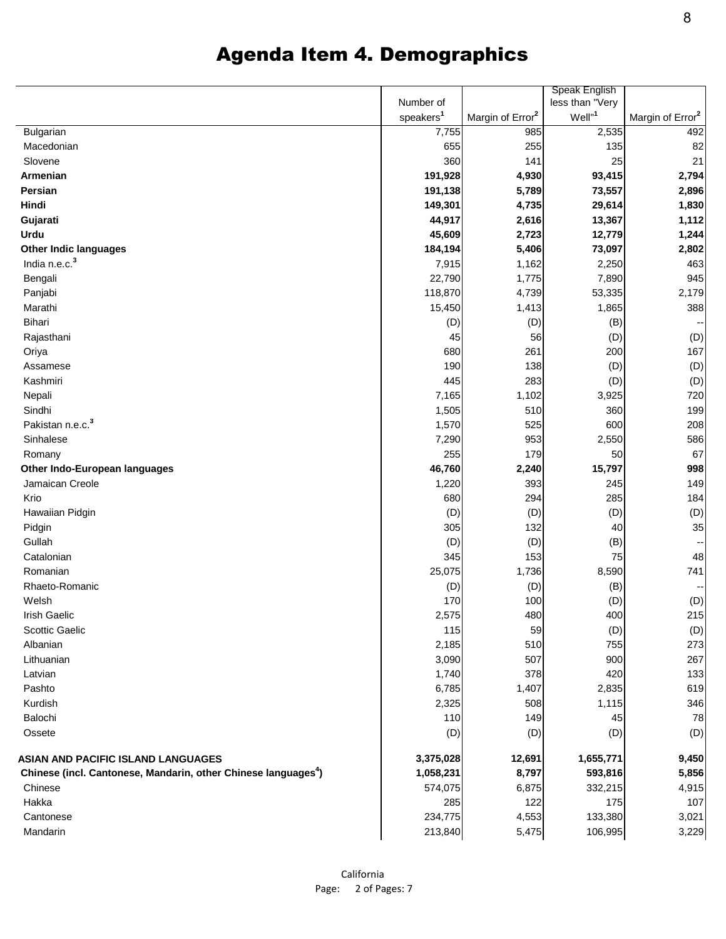|  |  |  | <b>Agenda Item 4. Demographics</b> |
|--|--|--|------------------------------------|
|--|--|--|------------------------------------|

|                                                                            |                       |                              | Speak English      |                              |
|----------------------------------------------------------------------------|-----------------------|------------------------------|--------------------|------------------------------|
|                                                                            | Number of             |                              | less than "Very    |                              |
|                                                                            | speakers <sup>1</sup> | Margin of Error <sup>2</sup> | Well" <sup>1</sup> | Margin of Error <sup>2</sup> |
| Bulgarian                                                                  | 7,755                 | 985                          | 2,535              | 492                          |
| Macedonian                                                                 | 655                   | 255                          | 135                | 82                           |
| Slovene                                                                    | 360                   | 141                          | 25                 | 21                           |
| Armenian                                                                   | 191,928               | 4,930                        | 93,415             | 2,794                        |
| Persian                                                                    | 191,138               | 5,789                        | 73,557             | 2,896                        |
| Hindi                                                                      | 149,301               | 4,735                        | 29,614             | 1,830                        |
| Gujarati                                                                   | 44,917                | 2,616                        | 13,367             | 1,112                        |
| Urdu                                                                       | 45,609                | 2,723                        | 12,779             | 1,244                        |
| <b>Other Indic languages</b>                                               | 184,194               | 5,406                        | 73,097             | 2,802                        |
| India n.e.c. <sup>3</sup>                                                  | 7,915                 | 1,162                        | 2,250              | 463                          |
| Bengali                                                                    | 22,790                | 1,775                        | 7,890              | 945                          |
| Panjabi                                                                    | 118,870               | 4,739                        | 53,335             | 2,179                        |
| Marathi                                                                    | 15,450                | 1,413                        | 1,865              | 388                          |
| Bihari                                                                     | (D)                   | (D)                          | (B)                | ۰.                           |
| Rajasthani                                                                 | 45                    | 56                           | (D)                | (D)                          |
| Oriya                                                                      | 680                   | 261                          | 200                | 167                          |
| Assamese                                                                   | 190                   | 138                          | (D)                | (D)                          |
| Kashmiri                                                                   | 445                   | 283                          | (D)                | (D)                          |
| Nepali                                                                     | 7,165                 | 1,102                        | 3,925              | 720                          |
| Sindhi                                                                     | 1,505                 | 510                          | 360                | 199                          |
| Pakistan n.e.c. <sup>3</sup>                                               | 1,570                 | 525                          | 600                | 208                          |
| Sinhalese                                                                  | 7,290                 | 953                          | 2,550              | 586                          |
| Romany                                                                     | 255                   | 179                          | 50                 | 67                           |
| Other Indo-European languages                                              | 46,760                | 2,240                        | 15,797             | 998                          |
| Jamaican Creole                                                            | 1,220                 | 393                          | 245                | 149                          |
| Krio                                                                       | 680                   | 294                          | 285                | 184                          |
| Hawaiian Pidgin                                                            | (D)                   | (D)                          | (D)                | (D)                          |
| Pidgin                                                                     | 305                   | 132                          | 40                 | 35                           |
| Gullah                                                                     | (D)                   | (D)                          | (B)                | ۰.                           |
| Catalonian                                                                 | 345                   | 153                          | 75                 | 48                           |
| Romanian                                                                   | 25,075                | 1,736                        | 8,590              | 741                          |
| Rhaeto-Romanic                                                             | (D)                   | (D)                          | (B)                | ٠.                           |
| Welsh                                                                      | 170                   | 100                          | (D)                | (D)                          |
| Irish Gaelic                                                               |                       |                              |                    |                              |
| <b>Scottic Gaelic</b>                                                      | 2,575                 | 480                          | 400                | 215                          |
| Albanian                                                                   | 115                   | 59                           | (D)                | (D)                          |
|                                                                            | 2,185                 | 510                          | 755                | 273                          |
| Lithuanian                                                                 | 3,090                 | 507                          | 900                | 267                          |
| Latvian                                                                    | 1,740                 | 378                          | 420                | 133                          |
| Pashto                                                                     | 6,785                 | 1,407                        | 2,835              | 619                          |
| Kurdish                                                                    | 2,325                 | 508                          | 1,115              | 346                          |
| Balochi                                                                    | 110                   | 149                          | 45                 | 78                           |
| Ossete                                                                     | (D)                   | (D)                          | (D)                | (D)                          |
| ASIAN AND PACIFIC ISLAND LANGUAGES                                         | 3,375,028             | 12,691                       | 1,655,771          | 9,450                        |
| Chinese (incl. Cantonese, Mandarin, other Chinese languages <sup>4</sup> ) | 1,058,231             | 8,797                        | 593,816            | 5,856                        |
| Chinese                                                                    | 574,075               | 6,875                        | 332,215            | 4,915                        |
| Hakka                                                                      | 285                   | 122                          | 175                | 107                          |
| Cantonese                                                                  | 234,775               | 4,553                        | 133,380            | 3,021                        |
| Mandarin                                                                   | 213,840               | 5,475                        | 106,995            | 3,229                        |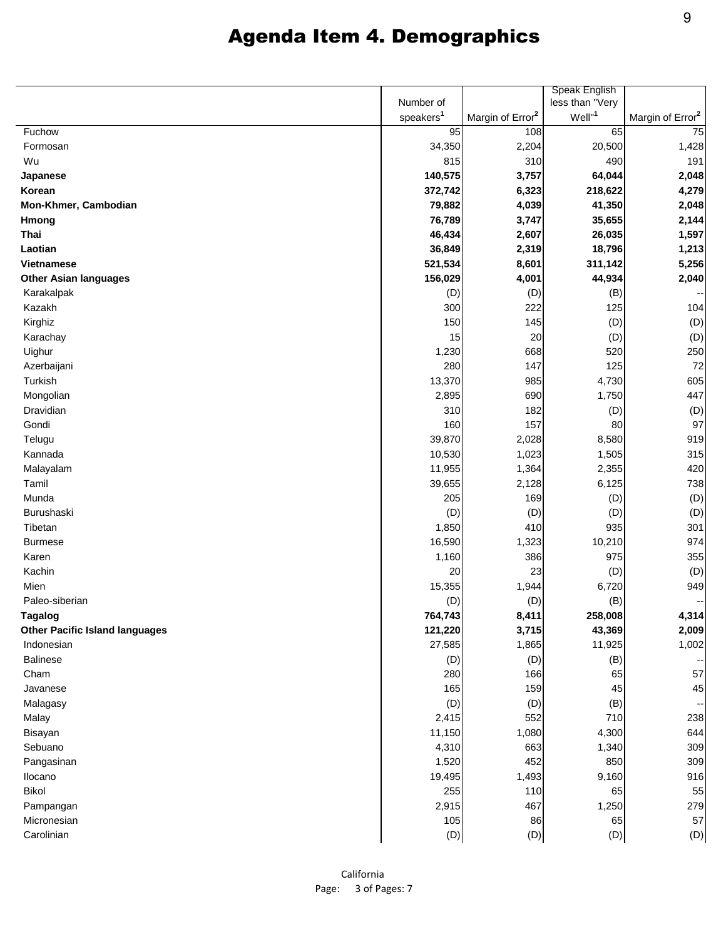|                                       | Speak English         |                              |                      |                              |
|---------------------------------------|-----------------------|------------------------------|----------------------|------------------------------|
|                                       | Number of             |                              | less than "Very      |                              |
|                                       | speakers <sup>1</sup> | Margin of Error <sup>2</sup> | $Well"$ <sup>1</sup> | Margin of Error <sup>2</sup> |
| Fuchow                                | 95                    | 108                          | 65                   | 75                           |
| Formosan                              | 34,350                | 2,204                        | 20,500               | 1,428                        |
| Wu                                    | 815                   | 310                          | 490                  | 191                          |
| Japanese                              | 140,575               | 3,757                        | 64,044               | 2,048                        |
| Korean                                | 372,742               | 6,323                        | 218,622              | 4,279                        |
| Mon-Khmer, Cambodian                  | 79,882                | 4,039                        | 41,350               | 2,048                        |
| <b>Hmong</b>                          | 76,789                | 3,747                        | 35,655               | 2,144                        |
| Thai                                  | 46,434                | 2,607                        | 26,035               | 1,597                        |
| Laotian                               | 36,849                | 2,319                        | 18,796               | 1,213                        |
| <b>Vietnamese</b>                     | 521,534               | 8,601                        | 311,142              | 5,256                        |
| <b>Other Asian languages</b>          | 156,029               | 4,001                        | 44,934               | 2,040                        |
| Karakalpak                            | (D)                   | (D)                          | (B)                  |                              |
| Kazakh                                | 300                   | 222                          | 125                  | 104                          |
| Kirghiz                               | 150                   | 145                          | (D)                  | (D)                          |
| Karachay                              | 15                    | 20                           | (D)                  | (D)                          |
| Uighur                                | 1,230                 | 668                          | 520                  | 250                          |
| Azerbaijani                           | 280                   | 147                          | 125                  | 72                           |
| Turkish                               | 13,370                | 985                          | 4,730                | 605                          |
| Mongolian                             | 2,895                 | 690                          | 1,750                | 447                          |
| Dravidian                             | 310                   | 182                          | (D)                  | (D)                          |
| Gondi                                 | 160                   | 157                          | 80                   | 97                           |
| Telugu                                | 39,870                | 2,028                        | 8,580                | 919                          |
| Kannada                               | 10,530                | 1,023                        | 1,505                | 315                          |
| Malayalam                             | 11,955                | 1,364                        | 2,355                | 420                          |
| Tamil                                 | 39,655                | 2,128                        | 6,125                | 738                          |
| Munda                                 | 205                   | 169                          | (D)                  | (D)                          |
| Burushaski                            | (D)                   | (D)                          | (D)                  | (D)                          |
| Tibetan                               | 1,850                 | 410                          | 935                  | 301                          |
| <b>Burmese</b>                        | 16,590                | 1,323                        | 10,210               | 974                          |
| Karen                                 | 1,160                 | 386                          | 975                  | 355                          |
| Kachin                                | 20                    | 23                           | (D)                  | (D)                          |
| Mien                                  | 15,355                | 1,944                        | 6,720                | 949                          |
| Paleo-siberian                        | (D)                   | (D)                          | (B)                  | н,                           |
| <b>Tagalog</b>                        | 764,743               | 8,411                        | 258,008              | 4,314                        |
| <b>Other Pacific Island languages</b> | 121,220               | 3,715                        | 43,369               | 2,009                        |
| Indonesian                            | 27,585                | 1,865                        | 11,925               | 1,002                        |
| Balinese                              | (D)                   | (D)                          | (B)                  |                              |
| Cham                                  | 280                   | 166                          | 65                   | 57                           |
| Javanese                              | 165                   | 159                          | 45                   | 45                           |
| Malagasy                              | (D)                   | (D)                          | (B)                  | ÷                            |
| Malay                                 | 2,415                 | 552                          | 710                  | 238                          |
| Bisayan                               | 11,150                | 1,080                        | 4,300                | 644                          |
| Sebuano                               | 4,310                 | 663                          | 1,340                | 309                          |
| Pangasinan                            | 1,520                 | 452                          | 850                  | 309                          |
| Ilocano                               | 19,495                | 1,493                        | 9,160                | 916                          |
| Bikol                                 | 255                   | 110                          | 65                   | 55                           |
| Pampangan                             | 2,915                 | 467                          | 1,250                | 279                          |
| Micronesian                           | 105                   | 86                           | 65                   | 57                           |
| Carolinian                            | (D)                   | (D)                          | (D)                  | (D)                          |
|                                       |                       |                              |                      |                              |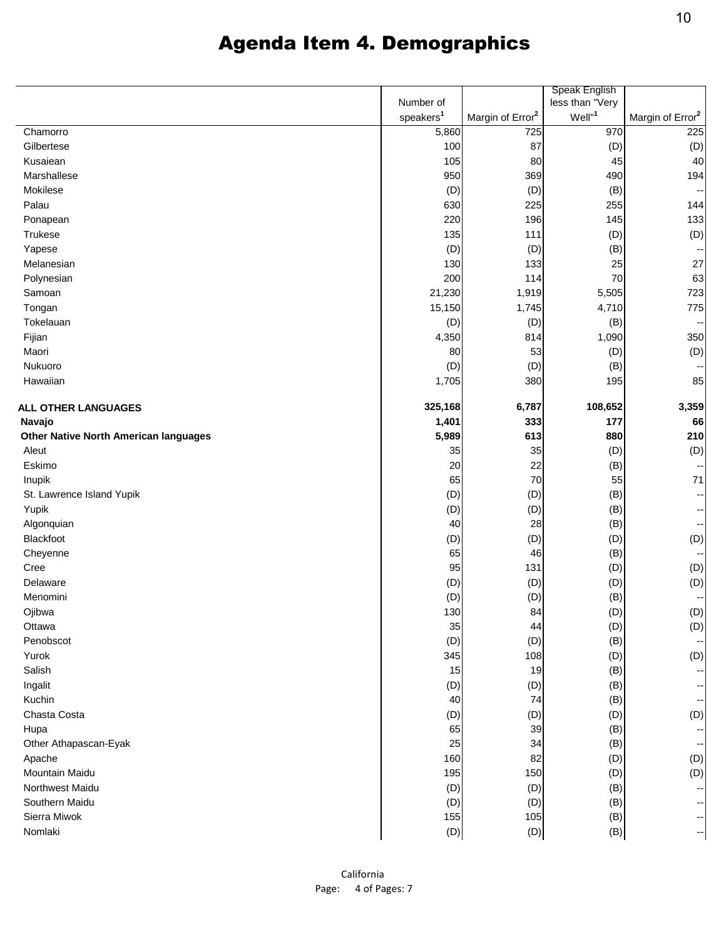|                                              |                       |                              | Speak English      |                              |
|----------------------------------------------|-----------------------|------------------------------|--------------------|------------------------------|
|                                              | Number of             |                              | less than "Very    |                              |
|                                              | speakers <sup>1</sup> | Margin of Error <sup>2</sup> | Well" <sup>1</sup> | Margin of Error <sup>2</sup> |
| Chamorro                                     | 5,860                 | 725                          | 970                | 225                          |
| Gilbertese                                   | 100                   | 87                           | (D)                | (D)                          |
| Kusaiean                                     | 105                   | 80                           | 45                 | 4 <sub>C</sub>               |
| Marshallese                                  | 950                   | 369                          | 490                | 194                          |
| Mokilese                                     | (D)                   | (D)                          | (B)                | $\overline{\phantom{a}}$     |
| Palau                                        | 630                   | 225                          | 255                | 144                          |
| Ponapean                                     | 220                   | 196                          | 145                | 133                          |
| Trukese                                      | 135                   | 111                          | (D)                | (D)                          |
| Yapese                                       | (D)                   | (D)                          | (B)                | $\overline{\phantom{a}}$     |
| Melanesian                                   | 130                   | 133                          | 25                 | 27                           |
| Polynesian                                   | 200                   | 114                          | 70                 | 63                           |
| Samoan                                       | 21,230                | 1,919                        | 5,505              | 723                          |
| Tongan                                       | 15,150                | 1,745                        | 4,710              | 775                          |
| Tokelauan                                    | (D)                   | (D)                          | (B)                | $\overline{\phantom{a}}$     |
| Fijian                                       | 4,350                 | 814                          | 1,090              | 350                          |
| Maori                                        | 80                    | 53                           | (D)                | (D)                          |
| Nukuoro                                      | (D)                   | (D)                          | (B)                | $\overline{\phantom{a}}$     |
| Hawaiian                                     | 1,705                 | 380                          | 195                | 85                           |
|                                              |                       |                              |                    |                              |
| <b>ALL OTHER LANGUAGES</b>                   | 325,168               | 6,787                        | 108,652            | 3,359                        |
| Navajo                                       | 1,401                 | 333                          | 177                | 66                           |
| <b>Other Native North American languages</b> | 5,989                 | 613                          | 880                | 210                          |
| Aleut                                        | 35                    | 35                           | (D)                | (D)                          |
| Eskimo                                       | 20                    | 22                           | (B)                | $\overline{\phantom{a}}$     |
| Inupik                                       | 65                    | 70                           | 55                 | 71                           |
| St. Lawrence Island Yupik                    | (D)                   | (D)                          | (B)                | $\overline{\phantom{a}}$     |
| Yupik                                        | (D)                   | (D)                          | (B)                | $\overline{\phantom{a}}$     |
| Algonquian                                   | 40                    | 28                           | (B)                | $\overline{\phantom{a}}$     |
| Blackfoot                                    | (D)                   | (D)                          | (D)                | (D)                          |
| Cheyenne                                     | 65                    | 46                           | (B)                | $\overline{\phantom{a}}$     |
| Cree                                         | 95                    | 131                          | (D)                | (D)                          |
| Delaware                                     | (D)                   | (D)                          | (D)                | (D)                          |
| Menomini                                     | (D)                   | (D)                          | (B)                | $\overline{\phantom{a}}$     |
| Ojibwa                                       | 130                   | 84                           | (D)                | (D)                          |
| Ottawa                                       | 35                    | 44                           | (D)                | (D)                          |
| Penobscot                                    | (D)                   | (D)                          | (B)                | $\overline{\phantom{a}}$     |
| Yurok                                        | 345                   | 108                          | (D)                | (D)                          |
| Salish                                       | 15                    | 19                           | (B)                | ÷                            |
| Ingalit                                      | (D)                   | (D)                          | (B)                | $\overline{\phantom{a}}$     |
| Kuchin                                       | 40                    | 74                           | (B)                | $\overline{\phantom{a}}$     |
| Chasta Costa                                 | (D)                   | (D)                          | (D)                | (D)                          |
| Hupa                                         | 65                    | 39                           | (B)                | $\overline{\phantom{a}}$     |
| Other Athapascan-Eyak                        | 25                    | 34                           | (B)                | $\overline{\phantom{a}}$     |
| Apache                                       | 160                   | 82                           | (D)                | (D)                          |
| Mountain Maidu                               | 195                   | 150                          | (D)                | (D)                          |
| Northwest Maidu                              | (D)                   | (D)                          | (B)                | $\overline{\phantom{a}}$     |
| Southern Maidu                               | (D)                   | (D)                          | (B)                | ÷                            |
| Sierra Miwok                                 | 155                   | 105                          | (B)                | $\overline{\phantom{a}}$     |
| Nomlaki                                      | (D)                   | (D)                          | (B)                | $\overline{\phantom{a}}$     |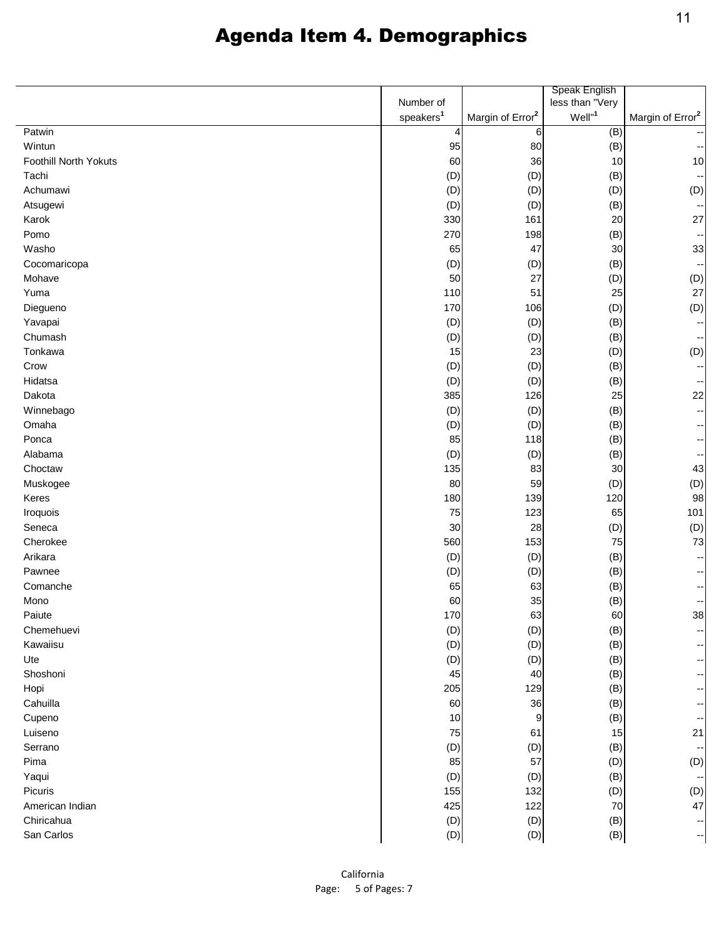|                       |                       |                              | Speak English      |                              |
|-----------------------|-----------------------|------------------------------|--------------------|------------------------------|
|                       | Number of             |                              | less than "Very    |                              |
|                       | speakers <sup>1</sup> | Margin of Error <sup>2</sup> | Well" <sup>1</sup> | Margin of Error <sup>2</sup> |
| Patwin                | 4                     | 6                            | (B)                |                              |
| Wintun                | 95                    | 80                           | (B)                |                              |
| Foothill North Yokuts | 60                    | 36                           | 10                 | 10                           |
| Tachi                 | (D)                   | (D)                          | (B)                | $\ddot{\phantom{1}}$         |
| Achumawi              | (D)                   | (D)                          | (D)                | (D)                          |
| Atsugewi              | (D)                   | (D)                          | (B)                | $\ddot{\phantom{1}}$         |
| Karok                 | 330                   | 161                          | 20                 | 27                           |
| Pomo                  | 270                   | 198                          | (B)                | $\overline{\phantom{a}}$     |
| Washo                 | 65                    | 47                           | 30                 | 33                           |
| Cocomaricopa          | (D)                   | (D)                          | (B)                | $\ddot{\phantom{1}}$         |
| Mohave                | 50                    | 27                           | (D)                | (D)                          |
| Yuma                  | 110                   | 51                           | 25                 | 27                           |
| Diegueno              | 170                   | 106                          | (D)                | (D)                          |
| Yavapai               | (D)                   | (D)                          | (B)                | ۰.                           |
| Chumash               | (D)                   | (D)                          | (B)                | $\overline{\phantom{a}}$     |
| Tonkawa               | 15                    | 23                           | (D)                | (D)                          |
| Crow                  | (D)                   | (D)                          | (B)                | $\ddot{\phantom{1}}$         |
| Hidatsa               | (D)                   | (D)                          | (B)                | ۰.                           |
| Dakota                | 385                   | 126                          | 25                 | 22                           |
| Winnebago             | (D)                   | (D)                          | (B)                | ÷                            |
| Omaha                 | (D)                   | (D)                          | (B)                | $\overline{\phantom{a}}$     |
| Ponca                 | 85                    | 118                          | (B)                | ÷                            |
| Alabama               | (D)                   | (D)                          | (B)                | $\overline{\phantom{a}}$     |
| Choctaw               | 135                   | 83                           | 30                 | 43                           |
| Muskogee              | 80                    | 59                           | (D)                | (D)                          |
| Keres                 | 180                   | 139                          | 120                | 98                           |
| Iroquois              | 75                    | 123                          | 65                 | 101                          |
| Seneca                | 30                    | 28                           | (D)                | (D)                          |
| Cherokee              | 560                   | 153                          | 75                 | 73                           |
| Arikara               | (D)                   | (D)                          | (B)                | ÷                            |
| Pawnee                | (D)                   | (D)                          | (B)                | ۰.                           |
| Comanche              | 65                    | 63                           | (B)                | ۰,                           |
| Mono                  | 60                    | 35                           | (B)                | ۰.                           |
| Paiute                | 170                   | 63                           | 60                 | 38                           |
| Chemehuevi            | (D)                   | (D)                          | (B)                | ÷                            |
| Kawaiisu              | (D)                   | (D)                          | (B)                | ۰.                           |
| Ute                   | (D)                   | (D)                          | (B)                | ۰,                           |
| Shoshoni              | 45                    | 40                           | (B)                | ÷                            |
| Hopi                  | 205                   | 129                          | (B)                | ÷                            |
| Cahuilla              | 60                    | 36                           | (B)                | ÷                            |
| Cupeno                | 10                    | 9                            | (B)                | ۰.                           |
| Luiseno               | 75                    | 61                           | 15                 | 21                           |
| Serrano               | (D)                   | (D)                          | (B)                | $\ddot{\phantom{1}}$         |
| Pima                  | 85                    | 57                           | (D)                | (D)                          |
| Yaqui                 | (D)                   | (D)                          | (B)                | $\ddot{\phantom{a}}$         |
| Picuris               | 155                   | 132                          | (D)                | (D)                          |
| American Indian       | 425                   | 122                          | 70                 | 47                           |
| Chiricahua            | (D)                   | (D)                          | (B)                | $\overline{\phantom{a}}$     |
| San Carlos            | (D)                   | (D)                          | (B)                | --                           |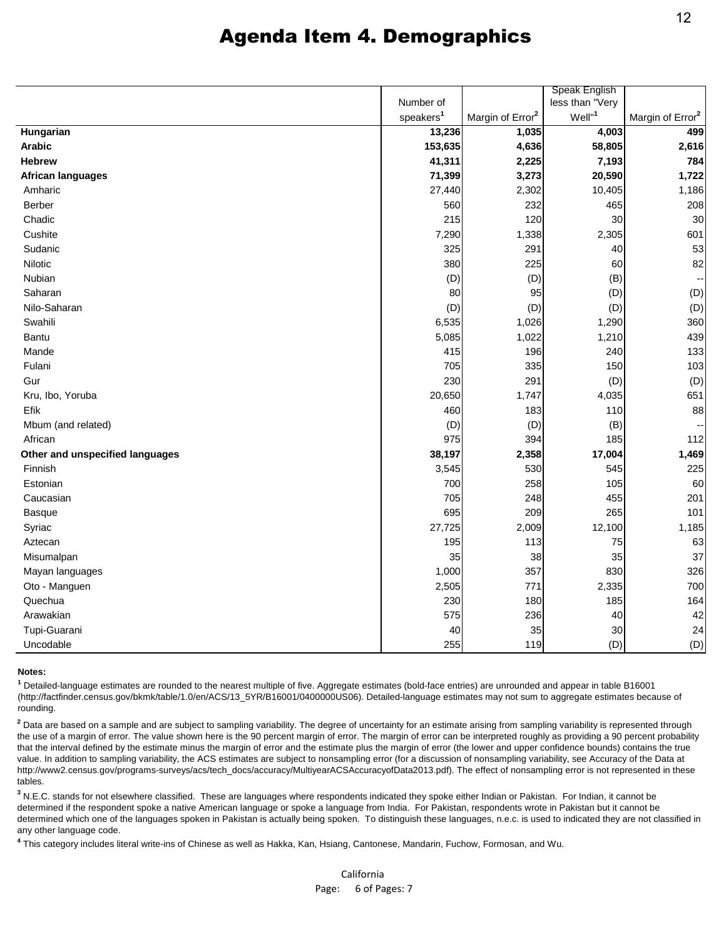|                                 |                       |                              | Speak English      |                              |
|---------------------------------|-----------------------|------------------------------|--------------------|------------------------------|
|                                 | Number of             |                              | less than "Very    |                              |
|                                 | speakers <sup>1</sup> | Margin of Error <sup>2</sup> | Well" <sup>1</sup> | Margin of Error <sup>2</sup> |
| Hungarian                       | 13,236                | 1,035                        | 4,003              | 499                          |
| <b>Arabic</b>                   | 153,635               | 4,636                        | 58,805             | 2,616                        |
| <b>Hebrew</b>                   | 41,311                | 2,225                        | 7,193              | 784                          |
| <b>African languages</b>        | 71,399                | 3,273                        | 20,590             | 1,722                        |
| Amharic                         | 27,440                | 2,302                        | 10,405             | 1,186                        |
| Berber                          | 560                   | 232                          | 465                | 208                          |
| Chadic                          | 215                   | 120                          | 30                 | 30                           |
| Cushite                         | 7,290                 | 1,338                        | 2,305              | 601                          |
| Sudanic                         | 325                   | 291                          | 40                 | 53                           |
| Nilotic                         | 380                   | 225                          | 60                 | 82                           |
| Nubian                          | (D)                   | (D)                          | (B)                | $\ddot{\phantom{1}}$         |
| Saharan                         | 80                    | 95                           | (D)                | (D)                          |
| Nilo-Saharan                    | (D)                   | (D)                          | (D)                | (D)                          |
| Swahili                         | 6,535                 | 1,026                        | 1,290              | 360                          |
| Bantu                           | 5,085                 | 1,022                        | 1,210              | 439                          |
| Mande                           | 415                   | 196                          | 240                | 133                          |
| Fulani                          | 705                   | 335                          | 150                | 103                          |
| Gur                             | 230                   | 291                          | (D)                | (D)                          |
| Kru, Ibo, Yoruba                | 20,650                | 1,747                        | 4,035              | 651                          |
| Efik                            | 460                   | 183                          | 110                | 88                           |
| Mbum (and related)              | (D)                   | (D)                          | (B)                | --                           |
| African                         | 975                   | 394                          | 185                | 112                          |
| Other and unspecified languages | 38,197                | 2,358                        | 17,004             | 1,469                        |
| Finnish                         | 3,545                 | 530                          | 545                | 225                          |
| Estonian                        | 700                   | 258                          | 105                | 60                           |
| Caucasian                       | 705                   | 248                          | 455                | 201                          |
| Basque                          | 695                   | 209                          | 265                | 101                          |
| Syriac                          | 27,725                | 2,009                        | 12,100             | 1,185                        |
| Aztecan                         | 195                   | 113                          | 75                 | 63                           |
| Misumalpan                      | 35                    | 38                           | 35                 | 37                           |
| Mayan languages                 | 1,000                 | 357                          | 830                | 326                          |
| Oto - Manguen                   | 2,505                 | 771                          | 2,335              | 700                          |
| Quechua                         | 230                   | 180                          | 185                | 164                          |
| Arawakian                       | 575                   | 236                          | 40                 | 42                           |
| Tupi-Guarani                    | 40                    | 35                           | 30                 | 24                           |
| Uncodable                       | 255                   | 119                          | (D)                | (D)                          |

#### **Notes:**

**1** Detailed-language estimates are rounded to the nearest multiple of five. Aggregate estimates (bold-face entries) are unrounded and appear in table B16001 (http://factfinder.census.gov/bkmk/table/1.0/en/ACS/13\_5YR/B16001/0400000US06). Detailed-language estimates may not sum to aggregate estimates because of rounding.

<sup>2</sup> Data are based on a sample and are subject to sampling variability. The degree of uncertainty for an estimate arising from sampling variability is represented through the use of a margin of error. The value shown here is the 90 percent margin of error. The margin of error can be interpreted roughly as providing a 90 percent probability that the interval defined by the estimate minus the margin of error and the estimate plus the margin of error (the lower and upper confidence bounds) contains the true value. In addition to sampling variability, the ACS estimates are subject to nonsampling error (for a discussion of nonsampling variability, see Accuracy of the Data at http://www2.census.gov/programs-surveys/acs/tech\_docs/accuracy/MultiyearACSAccuracyofData2013.pdf). The effect of nonsampling error is not represented in these tables.

**3** N.E.C. stands for not elsewhere classified. These are languages where respondents indicated they spoke either Indian or Pakistan. For Indian, it cannot be determined if the respondent spoke a native American language or spoke a language from India. For Pakistan, respondents wrote in Pakistan but it cannot be determined which one of the languages spoken in Pakistan is actually being spoken. To distinguish these languages, n.e.c. is used to indicated they are not classified in any other language code.

**4** This category includes literal write-ins of Chinese as well as Hakka, Kan, Hsiang, Cantonese, Mandarin, Fuchow, Formosan, and Wu.

California Page: 6 of Pages: 7